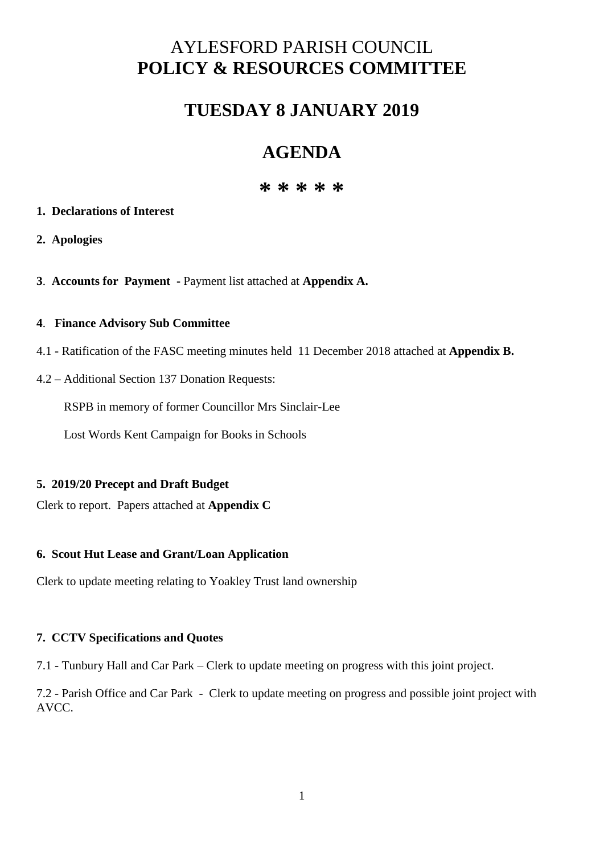# AYLESFORD PARISH COUNCIL **POLICY & RESOURCES COMMITTEE**

# **TUESDAY 8 JANUARY 2019**

# **AGENDA**

# **\* \* \* \* \***

### **1. Declarations of Interest**

- **2. Apologies**
- **3**. **Accounts for Payment -** Payment list attached at **Appendix A.**

#### **4**. **Finance Advisory Sub Committee**

- 4.1 Ratification of the FASC meeting minutes held 11 December 2018 attached at **Appendix B.**
- 4.2 Additional Section 137 Donation Requests:

RSPB in memory of former Councillor Mrs Sinclair-Lee

Lost Words Kent Campaign for Books in Schools

# **5. 2019/20 Precept and Draft Budget**

Clerk to report. Papers attached at **Appendix C**

# **6. Scout Hut Lease and Grant/Loan Application**

Clerk to update meeting relating to Yoakley Trust land ownership

# **7. CCTV Specifications and Quotes**

7.1 - Tunbury Hall and Car Park – Clerk to update meeting on progress with this joint project.

7.2 - Parish Office and Car Park - Clerk to update meeting on progress and possible joint project with AVCC.